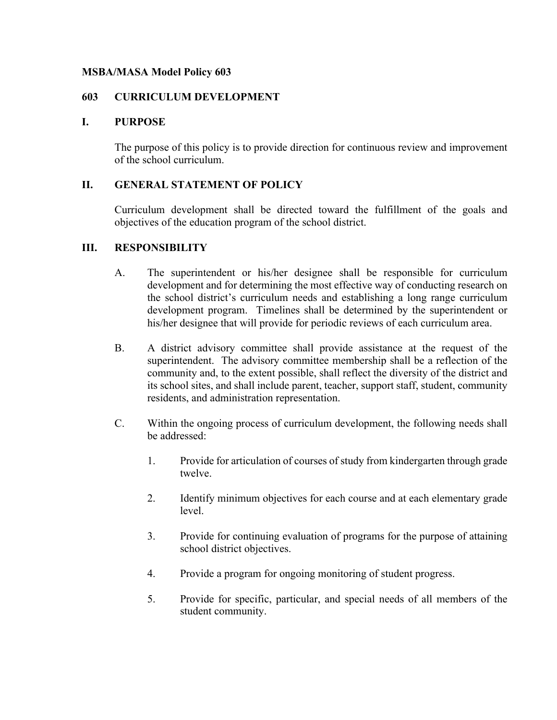# **MSBA/MASA Model Policy 603**

# **603 CURRICULUM DEVELOPMENT**

# **I. PURPOSE**

The purpose of this policy is to provide direction for continuous review and improvement of the school curriculum.

# **II. GENERAL STATEMENT OF POLICY**

Curriculum development shall be directed toward the fulfillment of the goals and objectives of the education program of the school district.

# **III. RESPONSIBILITY**

- A. The superintendent or his/her designee shall be responsible for curriculum development and for determining the most effective way of conducting research on the school district's curriculum needs and establishing a long range curriculum development program. Timelines shall be determined by the superintendent or his/her designee that will provide for periodic reviews of each curriculum area.
- B. A district advisory committee shall provide assistance at the request of the superintendent. The advisory committee membership shall be a reflection of the community and, to the extent possible, shall reflect the diversity of the district and its school sites, and shall include parent, teacher, support staff, student, community residents, and administration representation.
- C. Within the ongoing process of curriculum development, the following needs shall be addressed:
	- 1. Provide for articulation of courses of study from kindergarten through grade twelve.
	- 2. Identify minimum objectives for each course and at each elementary grade level.
	- 3. Provide for continuing evaluation of programs for the purpose of attaining school district objectives.
	- 4. Provide a program for ongoing monitoring of student progress.
	- 5. Provide for specific, particular, and special needs of all members of the student community.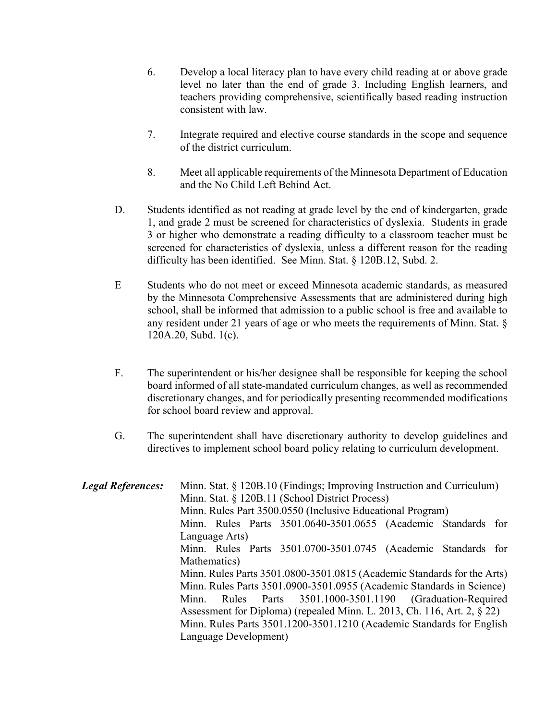- 6. Develop a local literacy plan to have every child reading at or above grade level no later than the end of grade 3. Including English learners, and teachers providing comprehensive, scientifically based reading instruction consistent with law.
- 7. Integrate required and elective course standards in the scope and sequence of the district curriculum.
- 8. Meet all applicable requirements of the Minnesota Department of Education and the No Child Left Behind Act.
- D. Students identified as not reading at grade level by the end of kindergarten, grade 1, and grade 2 must be screened for characteristics of dyslexia. Students in grade 3 or higher who demonstrate a reading difficulty to a classroom teacher must be screened for characteristics of dyslexia, unless a different reason for the reading difficulty has been identified. See Minn. Stat. § 120B.12, Subd. 2.
- E Students who do not meet or exceed Minnesota academic standards, as measured by the Minnesota Comprehensive Assessments that are administered during high school, shall be informed that admission to a public school is free and available to any resident under 21 years of age or who meets the requirements of Minn. Stat. § 120A.20, Subd. 1(c).
- F. The superintendent or his/her designee shall be responsible for keeping the school board informed of all state-mandated curriculum changes, as well as recommended discretionary changes, and for periodically presenting recommended modifications for school board review and approval.
- G. The superintendent shall have discretionary authority to develop guidelines and directives to implement school board policy relating to curriculum development.

| <b>Legal References:</b> | Minn. Stat. § 120B.10 (Findings; Improving Instruction and Curriculum)  |
|--------------------------|-------------------------------------------------------------------------|
|                          | Minn. Stat. § 120B.11 (School District Process)                         |
|                          | Minn. Rules Part 3500.0550 (Inclusive Educational Program)              |
|                          | Minn. Rules Parts 3501.0640-3501.0655 (Academic Standards for           |
|                          | Language Arts)                                                          |
|                          | Minn. Rules Parts 3501.0700-3501.0745 (Academic Standards for           |
|                          | Mathematics)                                                            |
|                          | Minn. Rules Parts 3501.0800-3501.0815 (Academic Standards for the Arts) |
|                          | Minn. Rules Parts 3501.0900-3501.0955 (Academic Standards in Science)   |
|                          | Rules Parts 3501.1000-3501.1190 (Graduation-Required<br>Minn.           |
|                          | Assessment for Diploma) (repealed Minn. L. 2013, Ch. 116, Art. 2, § 22) |
|                          | Minn. Rules Parts 3501.1200-3501.1210 (Academic Standards for English   |
|                          | Language Development)                                                   |